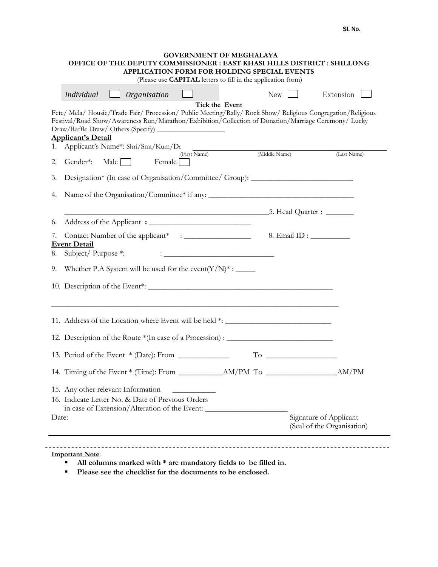| <b>GOVERNMENT OF MEGHALAYA</b><br>OFFICE OF THE DEPUTY COMMISSIONER : EAST KHASI HILLS DISTRICT : SHILLONG<br>APPLICATION FORM FOR HOLDING SPECIAL EVENTS<br>(Please use <b>CAPITAL</b> letters to fill in the application form)                                                                                                                                                 |                                                      |  |             |
|----------------------------------------------------------------------------------------------------------------------------------------------------------------------------------------------------------------------------------------------------------------------------------------------------------------------------------------------------------------------------------|------------------------------------------------------|--|-------------|
| Individual<br>Organisation                                                                                                                                                                                                                                                                                                                                                       | New                                                  |  | Extension   |
| Tick the Event<br>Fete/ Mela/ Housie/Trade Fair/ Procession/ Public Meeting/Rally/ Rock Show/ Religious Congregation/Religious<br>Festival/Road Show/Awareness Run/Marathon/Exhibition/Collection of Donation/Marriage Ceremony/ Lucky<br><b>Applicant's Detail</b><br>Applicant's Name*: Shri/Smt/Kum/Dr<br>1.<br>(First Name)<br>Male <sup>[</sup><br>Gender*:<br>Female<br>2. | ame) (Middle Name)                                   |  | (Last Name) |
| Designation* (In case of Organisation/Committee/ Group): _______________________<br>3.                                                                                                                                                                                                                                                                                           |                                                      |  |             |
| 4.                                                                                                                                                                                                                                                                                                                                                                               |                                                      |  |             |
|                                                                                                                                                                                                                                                                                                                                                                                  |                                                      |  |             |
| 6.                                                                                                                                                                                                                                                                                                                                                                               |                                                      |  |             |
| 7.<br><b>Event Detail</b><br>Subject/Purpose *:<br>8.                                                                                                                                                                                                                                                                                                                            |                                                      |  |             |
| 9.                                                                                                                                                                                                                                                                                                                                                                               |                                                      |  |             |
|                                                                                                                                                                                                                                                                                                                                                                                  |                                                      |  |             |
| 11. Address of the Location where Event will be held *: ________________________<br>12. Description of the Route *(In case of a Procession) : ______________________                                                                                                                                                                                                             |                                                      |  |             |
|                                                                                                                                                                                                                                                                                                                                                                                  |                                                      |  |             |
|                                                                                                                                                                                                                                                                                                                                                                                  |                                                      |  |             |
| 15. Any other relevant Information<br>16. Indicate Letter No. & Date of Previous Orders<br>in case of Extension/Alteration of the Event:                                                                                                                                                                                                                                         |                                                      |  |             |
| Date:                                                                                                                                                                                                                                                                                                                                                                            | Signature of Applicant<br>(Seal of the Organisation) |  |             |

**Important Note**:

- **All columns marked with \* are mandatory fields to be filled in.**
- **Please see the checklist for the documents to be enclosed.**